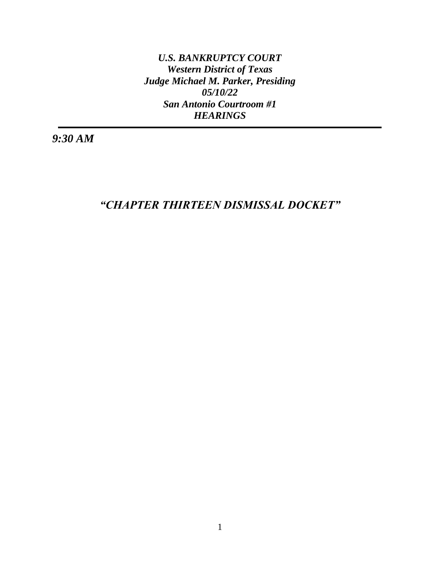*U.S. BANKRUPTCY COURT Western District of Texas Judge Michael M. Parker, Presiding 05/10/22 San Antonio Courtroom #1 HEARINGS*

*9:30 AM* 

*"CHAPTER THIRTEEN DISMISSAL DOCKET"*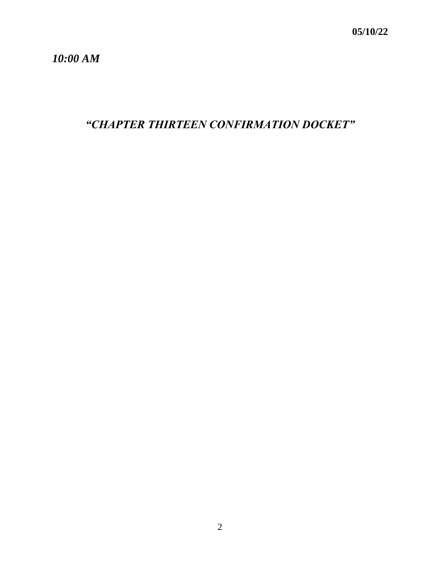*10:00 AM*

*"CHAPTER THIRTEEN CONFIRMATION DOCKET"*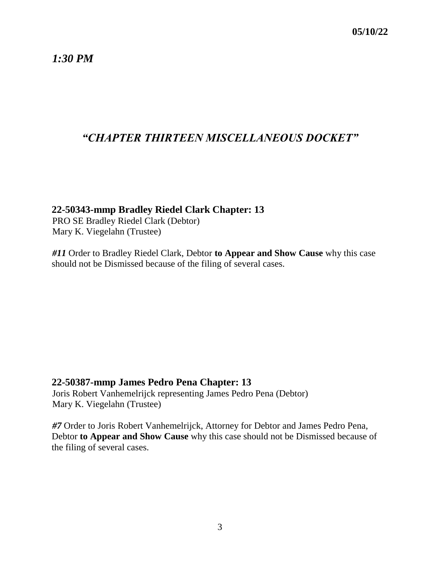*1:30 PM*

# *"CHAPTER THIRTEEN MISCELLANEOUS DOCKET"*

#### **22-50343-mmp Bradley Riedel Clark Chapter: 13**

PRO SE Bradley Riedel Clark (Debtor) Mary K. Viegelahn (Trustee)

*#11* Order to Bradley Riedel Clark, Debtor **to Appear and Show Cause** why this case should not be Dismissed because of the filing of several cases.

### **22-50387-mmp James Pedro Pena Chapter: 13**

Joris Robert Vanhemelrijck representing James Pedro Pena (Debtor) Mary K. Viegelahn (Trustee)

*#7* Order to Joris Robert Vanhemelrijck, Attorney for Debtor and James Pedro Pena, Debtor **to Appear and Show Cause** why this case should not be Dismissed because of the filing of several cases.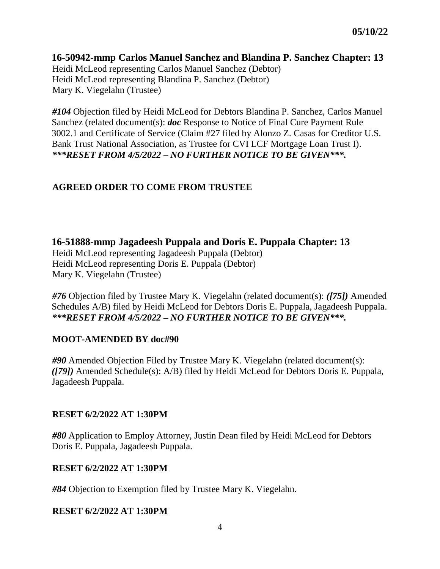#### **16-50942-mmp Carlos Manuel Sanchez and Blandina P. Sanchez Chapter: 13**

Heidi McLeod representing Carlos Manuel Sanchez (Debtor) Heidi McLeod representing Blandina P. Sanchez (Debtor) Mary K. Viegelahn (Trustee)

*#104* Objection filed by Heidi McLeod for Debtors Blandina P. Sanchez, Carlos Manuel Sanchez (related document(s): *doc* Response to Notice of Final Cure Payment Rule 3002.1 and Certificate of Service (Claim #27 filed by Alonzo Z. Casas for Creditor U.S. Bank Trust National Association, as Trustee for CVI LCF Mortgage Loan Trust I). *\*\*\*RESET FROM 4/5/2022 – NO FURTHER NOTICE TO BE GIVEN\*\*\*.*

### **AGREED ORDER TO COME FROM TRUSTEE**

**16-51888-mmp Jagadeesh Puppala and Doris E. Puppala Chapter: 13**

Heidi McLeod representing Jagadeesh Puppala (Debtor) Heidi McLeod representing Doris E. Puppala (Debtor) Mary K. Viegelahn (Trustee)

*#76* Objection filed by Trustee Mary K. Viegelahn (related document(s): *([75])* Amended Schedules A/B) filed by Heidi McLeod for Debtors Doris E. Puppala, Jagadeesh Puppala. *\*\*\*RESET FROM 4/5/2022 – NO FURTHER NOTICE TO BE GIVEN\*\*\*.*

### **MOOT-AMENDED BY doc#90**

*#90* Amended Objection Filed by Trustee Mary K. Viegelahn (related document(s): *([79])* Amended Schedule(s): A/B) filed by Heidi McLeod for Debtors Doris E. Puppala, Jagadeesh Puppala.

### **RESET 6/2/2022 AT 1:30PM**

*#80* Application to Employ Attorney, Justin Dean filed by Heidi McLeod for Debtors Doris E. Puppala, Jagadeesh Puppala.

### **RESET 6/2/2022 AT 1:30PM**

*#84* Objection to Exemption filed by Trustee Mary K. Viegelahn.

#### **RESET 6/2/2022 AT 1:30PM**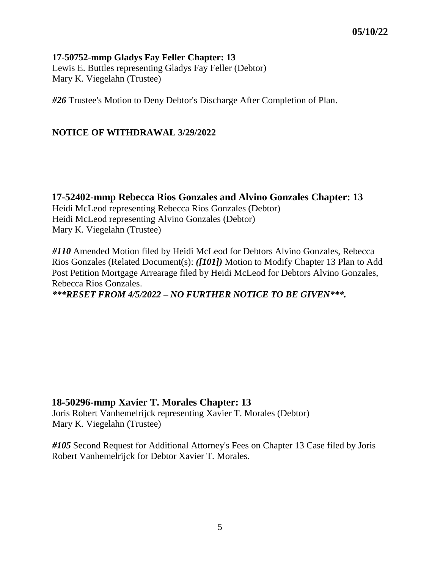#### **17-50752-mmp Gladys Fay Feller Chapter: 13** Lewis E. Buttles representing Gladys Fay Feller (Debtor) Mary K. Viegelahn (Trustee)

*#26* Trustee's Motion to Deny Debtor's Discharge After Completion of Plan.

#### **NOTICE OF WITHDRAWAL 3/29/2022**

**17-52402-mmp Rebecca Rios Gonzales and Alvino Gonzales Chapter: 13** Heidi McLeod representing Rebecca Rios Gonzales (Debtor) Heidi McLeod representing Alvino Gonzales (Debtor) Mary K. Viegelahn (Trustee)

*#110* Amended Motion filed by Heidi McLeod for Debtors Alvino Gonzales, Rebecca Rios Gonzales (Related Document(s): *([101])* Motion to Modify Chapter 13 Plan to Add Post Petition Mortgage Arrearage filed by Heidi McLeod for Debtors Alvino Gonzales, Rebecca Rios Gonzales. *\*\*\*RESET FROM 4/5/2022 – NO FURTHER NOTICE TO BE GIVEN\*\*\*.*

### **18-50296-mmp Xavier T. Morales Chapter: 13**

Joris Robert Vanhemelrijck representing Xavier T. Morales (Debtor) Mary K. Viegelahn (Trustee)

*#105* Second Request for Additional Attorney's Fees on Chapter 13 Case filed by Joris Robert Vanhemelrijck for Debtor Xavier T. Morales.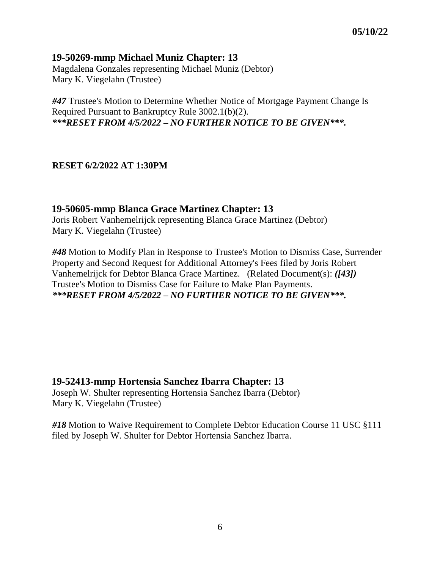### **19-50269-mmp Michael Muniz Chapter: 13**

Magdalena Gonzales representing Michael Muniz (Debtor) Mary K. Viegelahn (Trustee)

*#47* Trustee's Motion to Determine Whether Notice of Mortgage Payment Change Is Required Pursuant to Bankruptcy Rule 3002.1(b)(2). *\*\*\*RESET FROM 4/5/2022 – NO FURTHER NOTICE TO BE GIVEN\*\*\*.*

#### **RESET 6/2/2022 AT 1:30PM**

### **19-50605-mmp Blanca Grace Martinez Chapter: 13**

Joris Robert Vanhemelrijck representing Blanca Grace Martinez (Debtor) Mary K. Viegelahn (Trustee)

*#48* Motion to Modify Plan in Response to Trustee's Motion to Dismiss Case, Surrender Property and Second Request for Additional Attorney's Fees filed by Joris Robert Vanhemelrijck for Debtor Blanca Grace Martinez. (Related Document(s): *([43])* Trustee's Motion to Dismiss Case for Failure to Make Plan Payments. *\*\*\*RESET FROM 4/5/2022 – NO FURTHER NOTICE TO BE GIVEN\*\*\*.*

### **19-52413-mmp Hortensia Sanchez Ibarra Chapter: 13**

Joseph W. Shulter representing Hortensia Sanchez Ibarra (Debtor) Mary K. Viegelahn (Trustee)

*#18* Motion to Waive Requirement to Complete Debtor Education Course 11 USC §111 filed by Joseph W. Shulter for Debtor Hortensia Sanchez Ibarra.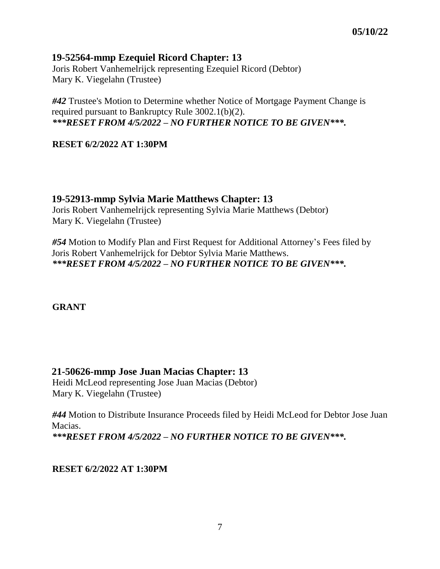### **19-52564-mmp Ezequiel Ricord Chapter: 13**

Joris Robert Vanhemelrijck representing Ezequiel Ricord (Debtor) Mary K. Viegelahn (Trustee)

*#42* Trustee's Motion to Determine whether Notice of Mortgage Payment Change is required pursuant to Bankruptcy Rule 3002.1(b)(2). *\*\*\*RESET FROM 4/5/2022 – NO FURTHER NOTICE TO BE GIVEN\*\*\*.*

#### **RESET 6/2/2022 AT 1:30PM**

**19-52913-mmp Sylvia Marie Matthews Chapter: 13** Joris Robert Vanhemelrijck representing Sylvia Marie Matthews (Debtor) Mary K. Viegelahn (Trustee)

*#54* Motion to Modify Plan and First Request for Additional Attorney's Fees filed by Joris Robert Vanhemelrijck for Debtor Sylvia Marie Matthews. *\*\*\*RESET FROM 4/5/2022 – NO FURTHER NOTICE TO BE GIVEN\*\*\*.*

**GRANT**

### **21-50626-mmp Jose Juan Macias Chapter: 13**

Heidi McLeod representing Jose Juan Macias (Debtor) Mary K. Viegelahn (Trustee)

*#44* Motion to Distribute Insurance Proceeds filed by Heidi McLeod for Debtor Jose Juan Macias. *\*\*\*RESET FROM 4/5/2022 – NO FURTHER NOTICE TO BE GIVEN\*\*\*.*

#### **RESET 6/2/2022 AT 1:30PM**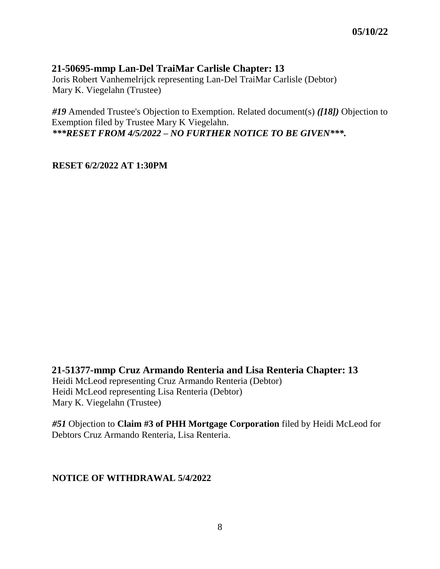## **21-50695-mmp Lan-Del TraiMar Carlisle Chapter: 13**

Joris Robert Vanhemelrijck representing Lan-Del TraiMar Carlisle (Debtor) Mary K. Viegelahn (Trustee)

*#19* Amended Trustee's Objection to Exemption. Related document(s) *([18])* Objection to Exemption filed by Trustee Mary K Viegelahn. *\*\*\*RESET FROM 4/5/2022 – NO FURTHER NOTICE TO BE GIVEN\*\*\*.*

**RESET 6/2/2022 AT 1:30PM**

**21-51377-mmp Cruz Armando Renteria and Lisa Renteria Chapter: 13**

Heidi McLeod representing Cruz Armando Renteria (Debtor) Heidi McLeod representing Lisa Renteria (Debtor) Mary K. Viegelahn (Trustee)

*#51* Objection to **Claim #3 of PHH Mortgage Corporation** filed by Heidi McLeod for Debtors Cruz Armando Renteria, Lisa Renteria.

**NOTICE OF WITHDRAWAL 5/4/2022**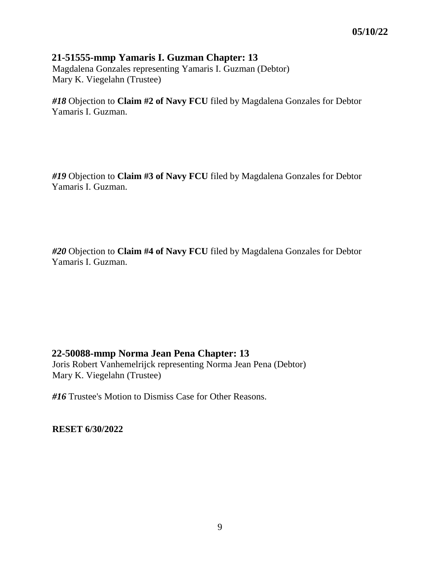#### **21-51555-mmp Yamaris I. Guzman Chapter: 13**

Magdalena Gonzales representing Yamaris I. Guzman (Debtor) Mary K. Viegelahn (Trustee)

*#18* Objection to **Claim #2 of Navy FCU** filed by Magdalena Gonzales for Debtor Yamaris I. Guzman.

*#19* Objection to **Claim #3 of Navy FCU** filed by Magdalena Gonzales for Debtor Yamaris I. Guzman.

*#20* Objection to **Claim #4 of Navy FCU** filed by Magdalena Gonzales for Debtor Yamaris I. Guzman.

### **22-50088-mmp Norma Jean Pena Chapter: 13**

Joris Robert Vanhemelrijck representing Norma Jean Pena (Debtor) Mary K. Viegelahn (Trustee)

*#16* Trustee's Motion to Dismiss Case for Other Reasons.

**RESET 6/30/2022**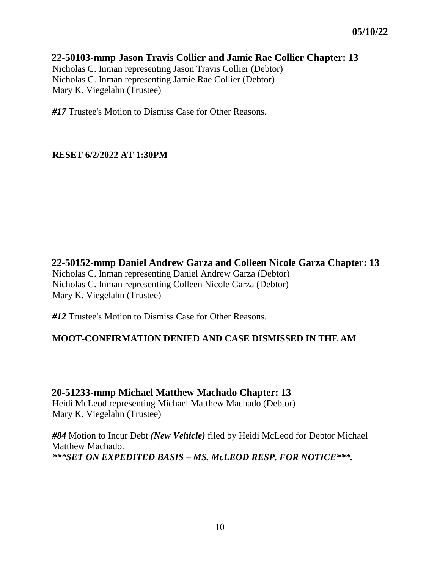### **22-50103-mmp Jason Travis Collier and Jamie Rae Collier Chapter: 13**

Nicholas C. Inman representing Jason Travis Collier (Debtor) Nicholas C. Inman representing Jamie Rae Collier (Debtor) Mary K. Viegelahn (Trustee)

*#17* Trustee's Motion to Dismiss Case for Other Reasons.

#### **RESET 6/2/2022 AT 1:30PM**

**22-50152-mmp Daniel Andrew Garza and Colleen Nicole Garza Chapter: 13** Nicholas C. Inman representing Daniel Andrew Garza (Debtor) Nicholas C. Inman representing Colleen Nicole Garza (Debtor) Mary K. Viegelahn (Trustee)

*#12* Trustee's Motion to Dismiss Case for Other Reasons.

#### **MOOT-CONFIRMATION DENIED AND CASE DISMISSED IN THE AM**

**20-51233-mmp Michael Matthew Machado Chapter: 13** Heidi McLeod representing Michael Matthew Machado (Debtor) Mary K. Viegelahn (Trustee)

*#84* Motion to Incur Debt *(New Vehicle)* filed by Heidi McLeod for Debtor Michael Matthew Machado. *\*\*\*SET ON EXPEDITED BASIS – MS. McLEOD RESP. FOR NOTICE\*\*\*.*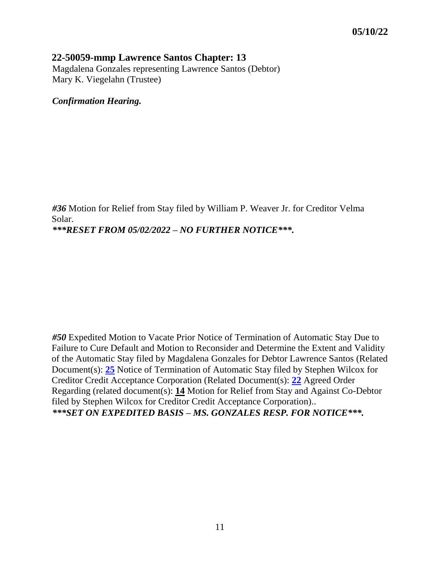#### **22-50059-mmp Lawrence Santos Chapter: 13**

Magdalena Gonzales representing Lawrence Santos (Debtor) Mary K. Viegelahn (Trustee)

*Confirmation Hearing.*

*#36* Motion for Relief from Stay filed by William P. Weaver Jr. for Creditor Velma Solar. *\*\*\*RESET FROM 05/02/2022 – NO FURTHER NOTICE\*\*\*.*

*#50* Expedited Motion to Vacate Prior Notice of Termination of Automatic Stay Due to Failure to Cure Default and Motion to Reconsider and Determine the Extent and Validity of the Automatic Stay filed by Magdalena Gonzales for Debtor Lawrence Santos (Related Document(s): **[25](https://txwb-ecf.sso.dcn/doc1/180026858208)** Notice of Termination of Automatic Stay filed by Stephen Wilcox for Creditor Credit Acceptance Corporation (Related Document(s): **[22](https://txwb-ecf.sso.dcn/doc1/180026850196)** Agreed Order Regarding (related document(s): **[14](https://txwb-ecf.sso.dcn/doc1/180026817344)** Motion for Relief from Stay and Against Co-Debtor filed by Stephen Wilcox for Creditor Credit Acceptance Corporation).. *\*\*\*SET ON EXPEDITED BASIS – MS. GONZALES RESP. FOR NOTICE\*\*\*.*